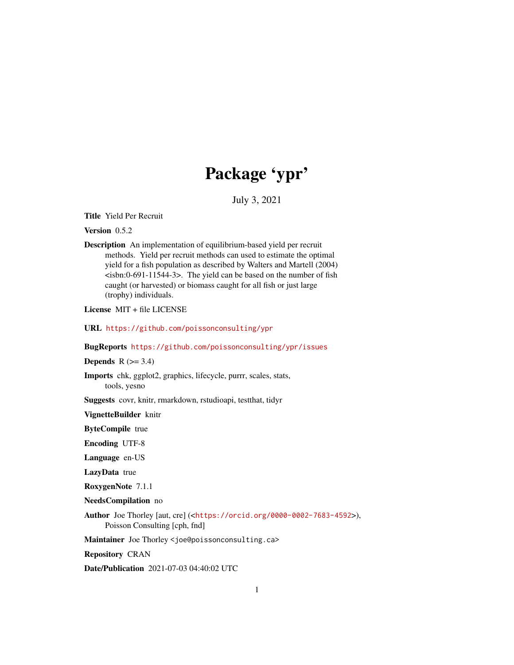# Package 'ypr'

July 3, 2021

<span id="page-0-0"></span>Title Yield Per Recruit

Version 0.5.2

Description An implementation of equilibrium-based yield per recruit methods. Yield per recruit methods can used to estimate the optimal yield for a fish population as described by Walters and Martell (2004)  $\epsilon$ isbn:0-691-11544-3>. The yield can be based on the number of fish caught (or harvested) or biomass caught for all fish or just large (trophy) individuals.

License MIT + file LICENSE

URL <https://github.com/poissonconsulting/ypr>

BugReports <https://github.com/poissonconsulting/ypr/issues>

Depends  $R$  ( $>= 3.4$ )

Imports chk, ggplot2, graphics, lifecycle, purrr, scales, stats, tools, yesno

Suggests covr, knitr, rmarkdown, rstudioapi, testthat, tidyr

VignetteBuilder knitr

ByteCompile true

Encoding UTF-8

Language en-US

LazyData true

RoxygenNote 7.1.1

NeedsCompilation no

Author Joe Thorley [aut, cre] (<<https://orcid.org/0000-0002-7683-4592>>), Poisson Consulting [cph, fnd]

Maintainer Joe Thorley <joe@poissonconsulting.ca>

Repository CRAN

Date/Publication 2021-07-03 04:40:02 UTC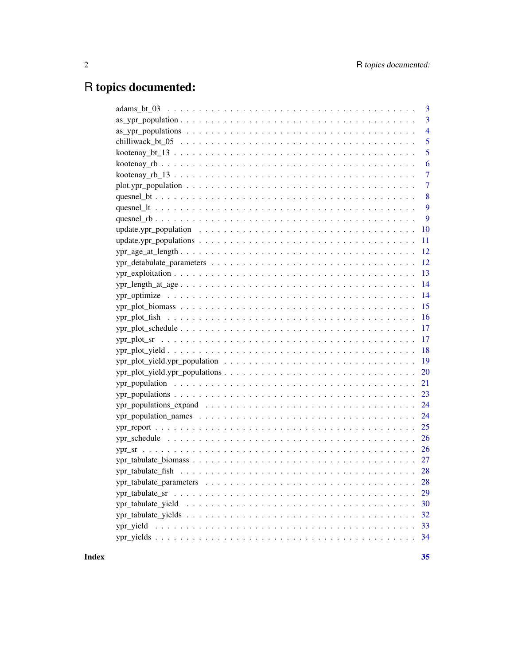# R topics documented:

|                                                                                                         | 3              |
|---------------------------------------------------------------------------------------------------------|----------------|
|                                                                                                         | $\overline{3}$ |
|                                                                                                         | $\overline{4}$ |
|                                                                                                         | 5              |
|                                                                                                         | 5              |
|                                                                                                         | 6              |
|                                                                                                         | 7              |
|                                                                                                         | $\overline{7}$ |
|                                                                                                         | 8              |
|                                                                                                         | 9              |
|                                                                                                         | 9              |
|                                                                                                         | 10             |
|                                                                                                         | 11             |
|                                                                                                         |                |
|                                                                                                         | 12             |
| $ypr\_exploitation \ldots \ldots \ldots \ldots \ldots \ldots \ldots \ldots \ldots \ldots \ldots \ldots$ | 13             |
|                                                                                                         | 14             |
|                                                                                                         | 14             |
|                                                                                                         | 15             |
|                                                                                                         | 16             |
|                                                                                                         | 17             |
|                                                                                                         |                |
|                                                                                                         | 18             |
|                                                                                                         | -19            |
|                                                                                                         |                |
|                                                                                                         | 21             |
|                                                                                                         | 23             |
|                                                                                                         |                |
|                                                                                                         | 24             |
|                                                                                                         |                |
|                                                                                                         |                |
|                                                                                                         |                |
|                                                                                                         |                |
|                                                                                                         |                |
|                                                                                                         |                |
|                                                                                                         | 29             |
|                                                                                                         | 30             |
|                                                                                                         | 32             |
|                                                                                                         | 33             |
|                                                                                                         | 34             |
|                                                                                                         |                |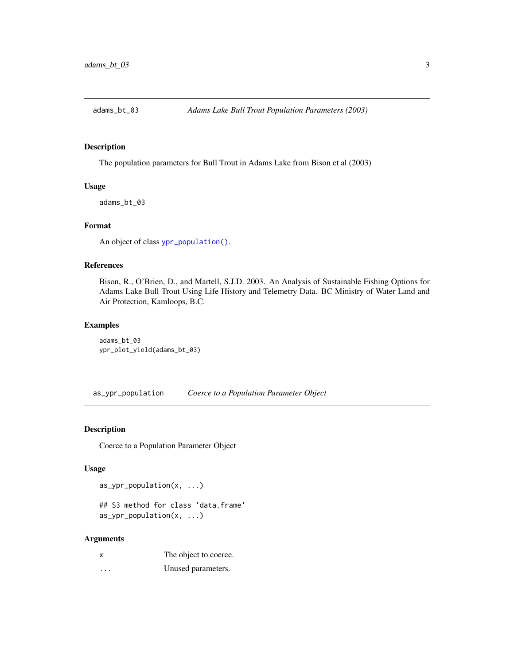<span id="page-2-0"></span>

#### Description

The population parameters for Bull Trout in Adams Lake from Bison et al (2003)

#### Usage

adams\_bt\_03

# Format

An object of class [ypr\\_population\(\)](#page-20-1).

#### References

Bison, R., O'Brien, D., and Martell, S.J.D. 2003. An Analysis of Sustainable Fishing Options for Adams Lake Bull Trout Using Life History and Telemetry Data. BC Ministry of Water Land and Air Protection, Kamloops, B.C.

#### Examples

adams\_bt\_03 ypr\_plot\_yield(adams\_bt\_03)

as\_ypr\_population *Coerce to a Population Parameter Object*

# Description

Coerce to a Population Parameter Object

## Usage

as\_ypr\_population(x, ...)

## S3 method for class 'data.frame' as\_ypr\_population(x, ...)

#### Arguments

| x | The object to coerce. |
|---|-----------------------|
| . | Unused parameters.    |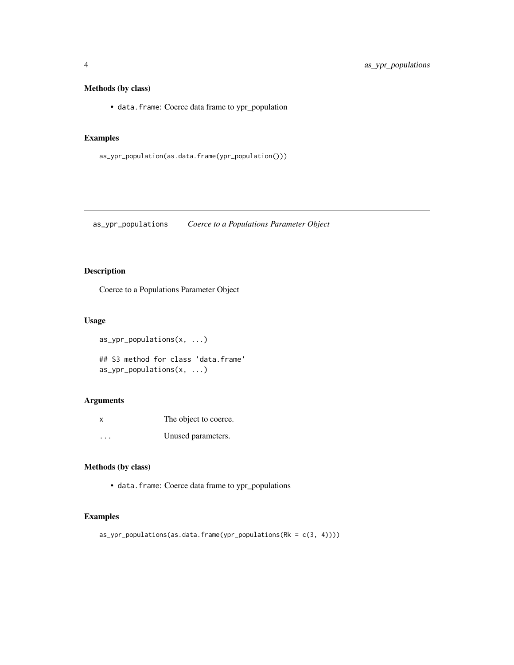# <span id="page-3-0"></span>Methods (by class)

• data.frame: Coerce data frame to ypr\_population

# Examples

```
as_ypr_population(as.data.frame(ypr_population()))
```
as\_ypr\_populations *Coerce to a Populations Parameter Object*

# Description

Coerce to a Populations Parameter Object

#### Usage

as\_ypr\_populations(x, ...)

## S3 method for class 'data.frame' as\_ypr\_populations(x, ...)

#### Arguments

| X         | The object to coerce. |
|-----------|-----------------------|
| $\ddotsc$ | Unused parameters.    |

# Methods (by class)

• data.frame: Coerce data frame to ypr\_populations

# Examples

as\_ypr\_populations(as.data.frame(ypr\_populations(Rk = c(3, 4))))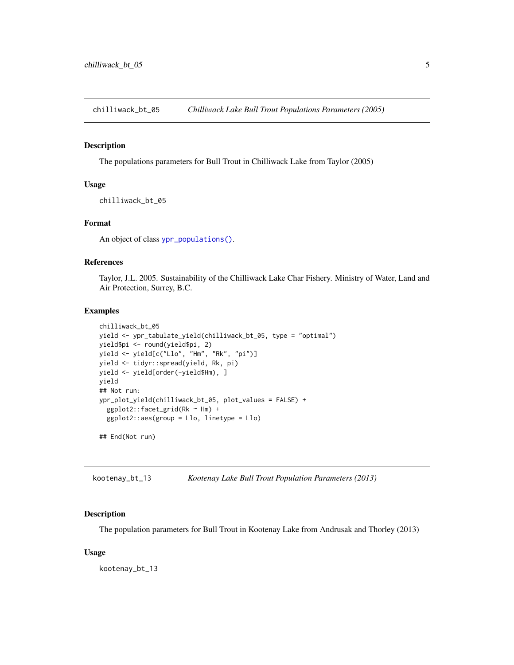<span id="page-4-0"></span>chilliwack\_bt\_05 *Chilliwack Lake Bull Trout Populations Parameters (2005)*

#### Description

The populations parameters for Bull Trout in Chilliwack Lake from Taylor (2005)

# Usage

chilliwack\_bt\_05

#### Format

An object of class [ypr\\_populations\(\)](#page-22-1).

#### References

Taylor, J.L. 2005. Sustainability of the Chilliwack Lake Char Fishery. Ministry of Water, Land and Air Protection, Surrey, B.C.

#### Examples

```
chilliwack_bt_05
yield <- ypr_tabulate_yield(chilliwack_bt_05, type = "optimal")
yield$pi <- round(yield$pi, 2)
yield <- yield[c("Llo", "Hm", "Rk", "pi")]
yield <- tidyr::spread(yield, Rk, pi)
yield <- yield[order(-yield$Hm), ]
yield
## Not run:
ypr_plot_yield(chilliwack_bt_05, plot_values = FALSE) +
  ggplot2::facet_grid(Rk ~ Hm) +
  ggplot2::aes(group = Llo, linetype = Llo)
## End(Not run)
```
kootenay\_bt\_13 *Kootenay Lake Bull Trout Population Parameters (2013)*

#### Description

The population parameters for Bull Trout in Kootenay Lake from Andrusak and Thorley (2013)

#### Usage

kootenay\_bt\_13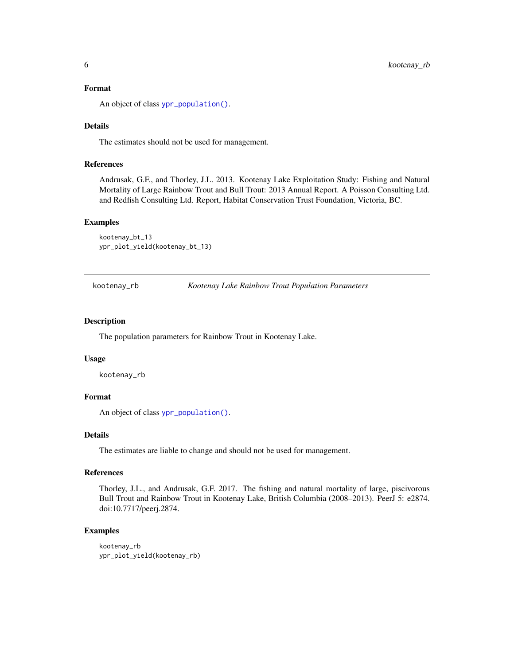#### <span id="page-5-0"></span>Format

An object of class [ypr\\_population\(\)](#page-20-1).

#### Details

The estimates should not be used for management.

#### References

Andrusak, G.F., and Thorley, J.L. 2013. Kootenay Lake Exploitation Study: Fishing and Natural Mortality of Large Rainbow Trout and Bull Trout: 2013 Annual Report. A Poisson Consulting Ltd. and Redfish Consulting Ltd. Report, Habitat Conservation Trust Foundation, Victoria, BC.

#### Examples

kootenay\_bt\_13 ypr\_plot\_yield(kootenay\_bt\_13)

<span id="page-5-1"></span>kootenay\_rb *Kootenay Lake Rainbow Trout Population Parameters*

#### Description

The population parameters for Rainbow Trout in Kootenay Lake.

#### Usage

kootenay\_rb

# Format

An object of class [ypr\\_population\(\)](#page-20-1).

#### Details

The estimates are liable to change and should not be used for management.

#### References

Thorley, J.L., and Andrusak, G.F. 2017. The fishing and natural mortality of large, piscivorous Bull Trout and Rainbow Trout in Kootenay Lake, British Columbia (2008–2013). PeerJ 5: e2874. doi:10.7717/peerj.2874.

```
kootenay_rb
ypr_plot_yield(kootenay_rb)
```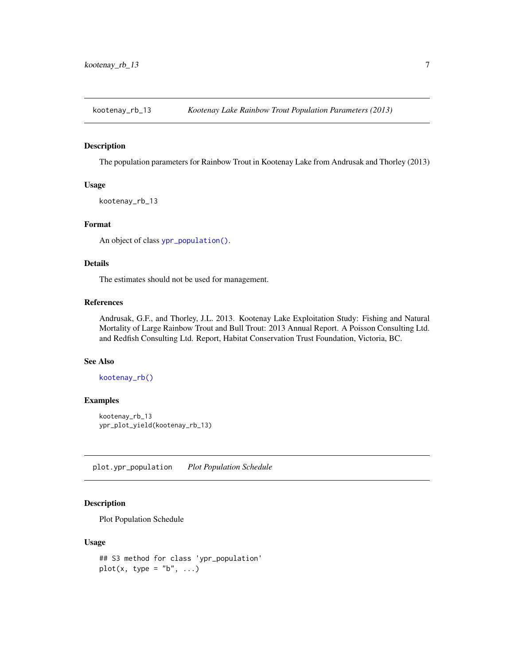<span id="page-6-0"></span>kootenay\_rb\_13 *Kootenay Lake Rainbow Trout Population Parameters (2013)*

#### Description

The population parameters for Rainbow Trout in Kootenay Lake from Andrusak and Thorley (2013)

#### Usage

```
kootenay_rb_13
```
#### Format

An object of class [ypr\\_population\(\)](#page-20-1).

#### Details

The estimates should not be used for management.

## References

Andrusak, G.F., and Thorley, J.L. 2013. Kootenay Lake Exploitation Study: Fishing and Natural Mortality of Large Rainbow Trout and Bull Trout: 2013 Annual Report. A Poisson Consulting Ltd. and Redfish Consulting Ltd. Report, Habitat Conservation Trust Foundation, Victoria, BC.

#### See Also

[kootenay\\_rb\(\)](#page-5-1)

#### Examples

```
kootenay_rb_13
ypr_plot_yield(kootenay_rb_13)
```
plot.ypr\_population *Plot Population Schedule*

# Description

Plot Population Schedule

#### Usage

```
## S3 method for class 'ypr_population'
plot(x, type = "b", ...)
```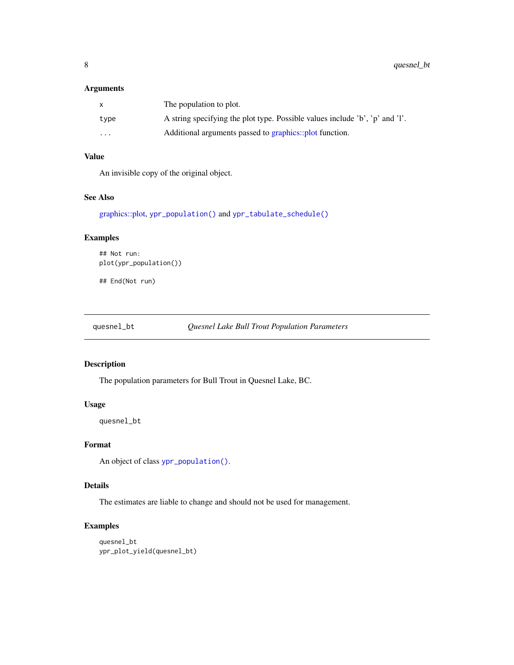#### <span id="page-7-0"></span>Arguments

|                         | The population to plot.                                                      |
|-------------------------|------------------------------------------------------------------------------|
| type                    | A string specifying the plot type. Possible values include 'b', 'p' and 'l'. |
| $\cdot$ $\cdot$ $\cdot$ | Additional arguments passed to graphics::plot function.                      |

# Value

An invisible copy of the original object.

#### See Also

[graphics::plot,](#page-0-0) [ypr\\_population\(\)](#page-20-1) and [ypr\\_tabulate\\_schedule\(\)](#page-25-1)

# Examples

```
## Not run:
plot(ypr_population())
```
## End(Not run)

quesnel\_bt *Quesnel Lake Bull Trout Population Parameters*

# Description

The population parameters for Bull Trout in Quesnel Lake, BC.

#### Usage

quesnel\_bt

#### Format

An object of class [ypr\\_population\(\)](#page-20-1).

# Details

The estimates are liable to change and should not be used for management.

```
quesnel_bt
ypr_plot_yield(quesnel_bt)
```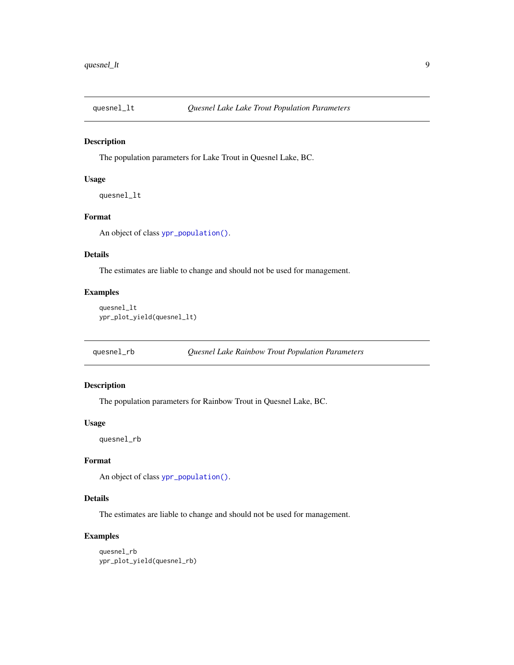<span id="page-8-0"></span>

#### Description

The population parameters for Lake Trout in Quesnel Lake, BC.

#### Usage

quesnel\_lt

# Format

An object of class [ypr\\_population\(\)](#page-20-1).

# Details

The estimates are liable to change and should not be used for management.

#### Examples

```
quesnel_lt
ypr_plot_yield(quesnel_lt)
```
quesnel\_rb *Quesnel Lake Rainbow Trout Population Parameters*

#### Description

The population parameters for Rainbow Trout in Quesnel Lake, BC.

#### Usage

quesnel\_rb

#### Format

An object of class [ypr\\_population\(\)](#page-20-1).

#### Details

The estimates are liable to change and should not be used for management.

```
quesnel_rb
ypr_plot_yield(quesnel_rb)
```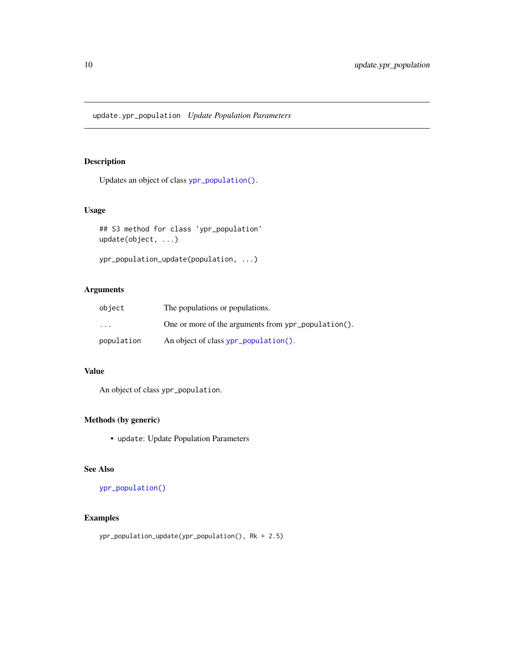<span id="page-9-0"></span>update.ypr\_population *Update Population Parameters*

# <span id="page-9-1"></span>Description

Updates an object of class [ypr\\_population\(\)](#page-20-1).

# Usage

```
## S3 method for class 'ypr_population'
update(object, ...)
```

```
ypr_population_update(population, ...)
```
# Arguments

| object                  | The populations or populations.                     |
|-------------------------|-----------------------------------------------------|
| $\cdot$ $\cdot$ $\cdot$ | One or more of the arguments from ypr_population(). |
| population              | An object of class ypr_population().                |

# Value

An object of class ypr\_population.

# Methods (by generic)

• update: Update Population Parameters

# See Also

#### [ypr\\_population\(\)](#page-20-1)

# Examples

ypr\_population\_update(ypr\_population(), Rk = 2.5)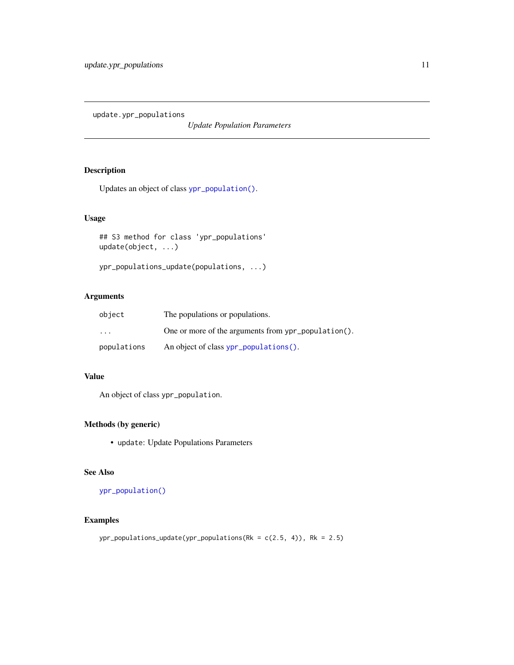<span id="page-10-0"></span>update.ypr\_populations

*Update Population Parameters*

# Description

Updates an object of class [ypr\\_population\(\)](#page-20-1).

# Usage

```
## S3 method for class 'ypr_populations'
update(object, ...)
```

```
ypr_populations_update(populations, ...)
```
# Arguments

| object      | The populations or populations.                     |
|-------------|-----------------------------------------------------|
| $\cdot$     | One or more of the arguments from ypr_population(). |
| populations | An object of class ypr_populations().               |

# Value

An object of class ypr\_population.

# Methods (by generic)

• update: Update Populations Parameters

#### See Also

[ypr\\_population\(\)](#page-20-1)

# Examples

ypr\_populations\_update(ypr\_populations(Rk = c(2.5, 4)), Rk = 2.5)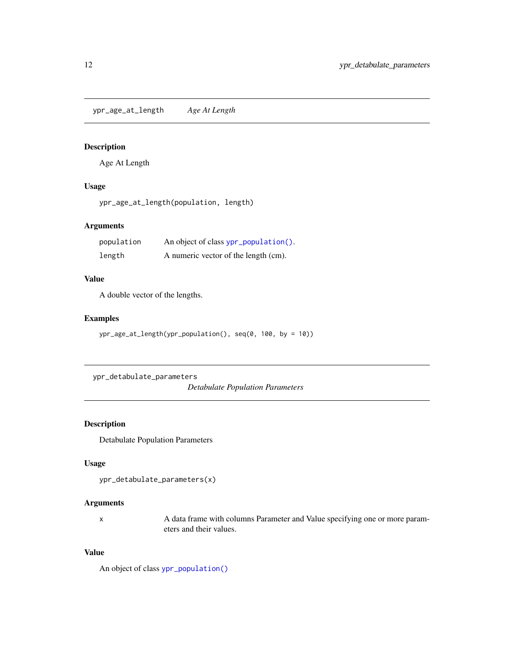<span id="page-11-0"></span>ypr\_age\_at\_length *Age At Length*

# Description

Age At Length

## Usage

ypr\_age\_at\_length(population, length)

# Arguments

| population | An object of class ypr_population(). |
|------------|--------------------------------------|
| length     | A numeric vector of the length (cm). |

## Value

A double vector of the lengths.

# Examples

```
ypr_age_at_length(ypr_population(), seq(0, 100, by = 10))
```

```
ypr_detabulate_parameters
```
*Detabulate Population Parameters*

# Description

Detabulate Population Parameters

#### Usage

```
ypr_detabulate_parameters(x)
```
#### Arguments

x A data frame with columns Parameter and Value specifying one or more parameters and their values.

#### Value

An object of class [ypr\\_population\(\)](#page-20-1)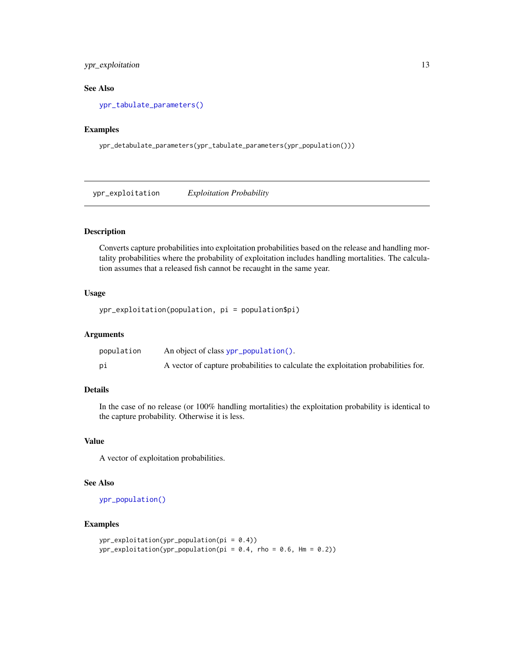# <span id="page-12-0"></span>ypr\_exploitation 13

## See Also

[ypr\\_tabulate\\_parameters\(\)](#page-27-1)

# Examples

ypr\_detabulate\_parameters(ypr\_tabulate\_parameters(ypr\_population()))

ypr\_exploitation *Exploitation Probability*

# Description

Converts capture probabilities into exploitation probabilities based on the release and handling mortality probabilities where the probability of exploitation includes handling mortalities. The calculation assumes that a released fish cannot be recaught in the same year.

#### Usage

```
ypr_exploitation(population, pi = population$pi)
```
#### Arguments

| population | An object of class ypr_population().                                               |
|------------|------------------------------------------------------------------------------------|
| рi         | A vector of capture probabilities to calculate the exploitation probabilities for. |

#### Details

In the case of no release (or 100% handling mortalities) the exploitation probability is identical to the capture probability. Otherwise it is less.

#### Value

A vector of exploitation probabilities.

#### See Also

[ypr\\_population\(\)](#page-20-1)

```
ypr_exploitation(ypr_population(pi = 0.4))
ypr\_exploitation(ypr\_population(pi = 0.4, rho = 0.6, Hm = 0.2))
```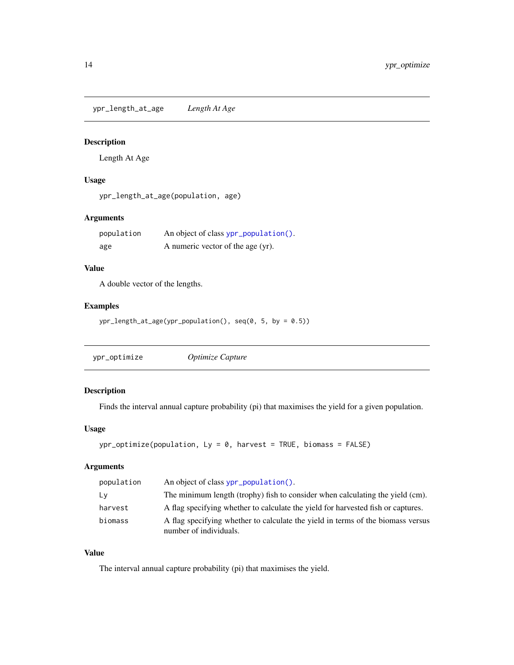<span id="page-13-0"></span>ypr\_length\_at\_age *Length At Age*

# Description

Length At Age

# Usage

ypr\_length\_at\_age(population, age)

# Arguments

| population | An object of class ypr_population(). |
|------------|--------------------------------------|
| age        | A numeric vector of the age (yr).    |

## Value

A double vector of the lengths.

#### Examples

ypr\_length\_at\_age(ypr\_population(), seq(0, 5, by = 0.5))

<span id="page-13-1"></span>

| ypr_optimize | Optimize Capture |
|--------------|------------------|
|--------------|------------------|

# Description

Finds the interval annual capture probability (pi) that maximises the yield for a given population.

# Usage

```
ypr\_optimize(population, Ly = 0, harvest = TRUE, biomass = FALSE)
```
# Arguments

| population | An object of class ypr_population().                                                                      |
|------------|-----------------------------------------------------------------------------------------------------------|
| Ly         | The minimum length (trophy) fish to consider when calculating the yield (cm).                             |
| harvest    | A flag specifying whether to calculate the yield for harvested fish or captures.                          |
| biomass    | A flag specifying whether to calculate the yield in terms of the biomass versus<br>number of individuals. |

## Value

The interval annual capture probability (pi) that maximises the yield.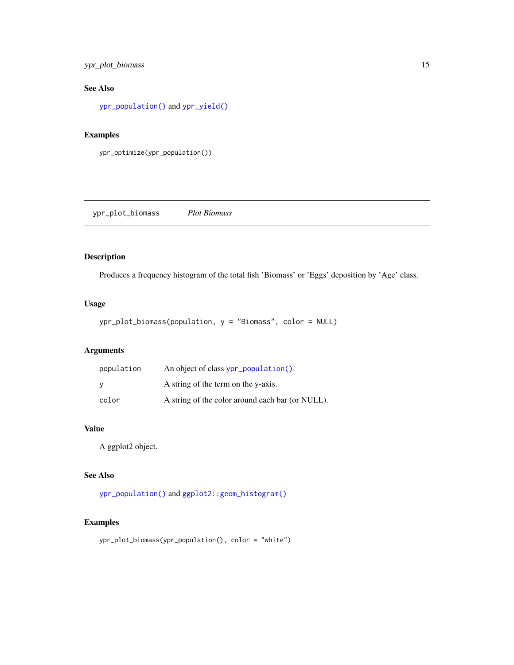# <span id="page-14-0"></span>ypr\_plot\_biomass 15

# See Also

[ypr\\_population\(\)](#page-20-1) and [ypr\\_yield\(\)](#page-32-1)

#### Examples

```
ypr_optimize(ypr_population())
```
ypr\_plot\_biomass *Plot Biomass*

# Description

Produces a frequency histogram of the total fish 'Biomass' or 'Eggs' deposition by 'Age' class.

# Usage

```
ypr_plot_biomass(population, y = "Biomass", color = NULL)
```
# Arguments

| population | An object of class ypr_population().             |
|------------|--------------------------------------------------|
| <b>V</b>   | A string of the term on the y-axis.              |
| color      | A string of the color around each bar (or NULL). |

## Value

A ggplot2 object.

# See Also

[ypr\\_population\(\)](#page-20-1) and [ggplot2::geom\\_histogram\(\)](#page-0-0)

```
ypr_plot_biomass(ypr_population(), color = "white")
```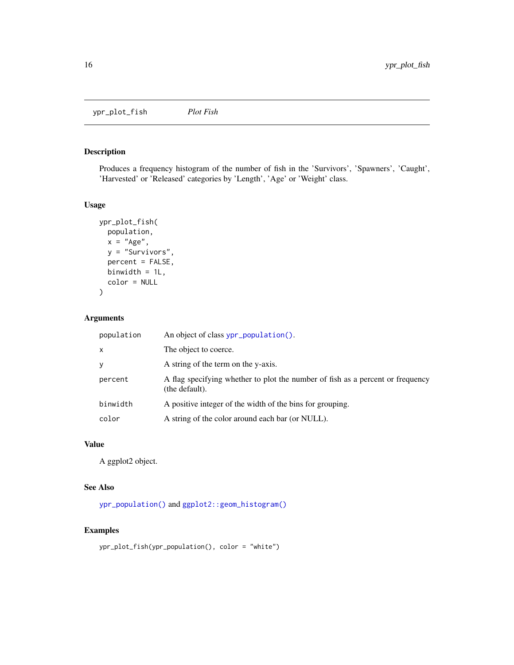<span id="page-15-0"></span>ypr\_plot\_fish *Plot Fish*

# Description

Produces a frequency histogram of the number of fish in the 'Survivors', 'Spawners', 'Caught', 'Harvested' or 'Released' categories by 'Length', 'Age' or 'Weight' class.

#### Usage

```
ypr_plot_fish(
  population,
  x = "Age",y = "Survivors",
  percent = FALSE,
  binwidth = 1L,
  color = NULL
\lambda
```
# Arguments

| population   | An object of class ypr_population().                                                             |
|--------------|--------------------------------------------------------------------------------------------------|
| $\mathsf{x}$ | The object to coerce.                                                                            |
| y            | A string of the term on the y-axis.                                                              |
| percent      | A flag specifying whether to plot the number of fish as a percent or frequency<br>(the default). |
| binwidth     | A positive integer of the width of the bins for grouping.                                        |
| color        | A string of the color around each bar (or NULL).                                                 |

# Value

A ggplot2 object.

#### See Also

[ypr\\_population\(\)](#page-20-1) and [ggplot2::geom\\_histogram\(\)](#page-0-0)

```
ypr_plot_fish(ypr_population(), color = "white")
```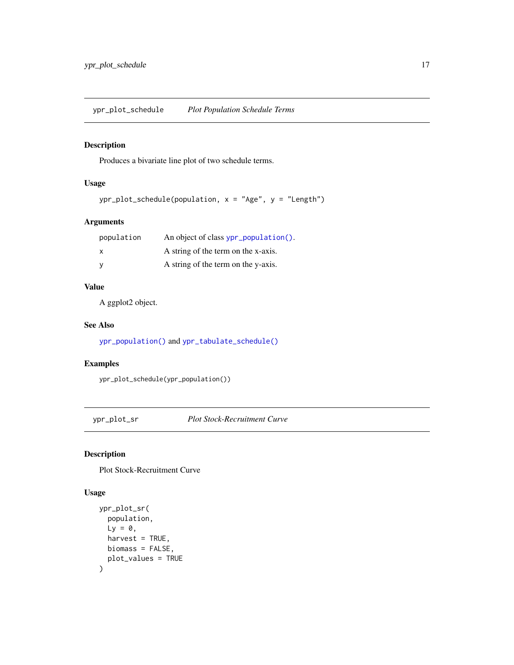# <span id="page-16-0"></span>Description

Produces a bivariate line plot of two schedule terms.

# Usage

```
ypr\_plot\_schedule(population, x = "Age", y = "Length")
```
# Arguments

| population | An object of class ypr_population(). |
|------------|--------------------------------------|
| X          | A string of the term on the x-axis.  |
|            | A string of the term on the y-axis.  |

# Value

A ggplot2 object.

# See Also

[ypr\\_population\(\)](#page-20-1) and [ypr\\_tabulate\\_schedule\(\)](#page-25-1)

#### Examples

ypr\_plot\_schedule(ypr\_population())

ypr\_plot\_sr *Plot Stock-Recruitment Curve*

#### Description

Plot Stock-Recruitment Curve

#### Usage

```
ypr_plot_sr(
  population,
  Ly = 0,
  harvest = TRUE,
  biomass = FALSE,
  plot_values = TRUE
\mathcal{E}
```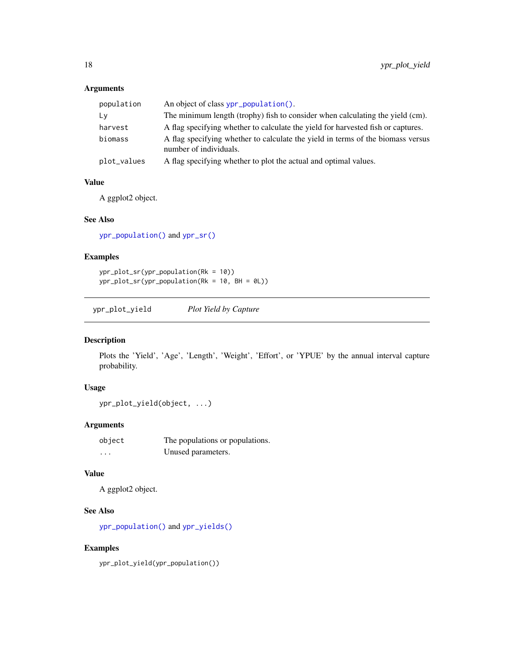# <span id="page-17-0"></span>Arguments

| population  | An object of class ypr_population().                                                                      |
|-------------|-----------------------------------------------------------------------------------------------------------|
| Ly          | The minimum length (trophy) fish to consider when calculating the yield (cm).                             |
| harvest     | A flag specifying whether to calculate the yield for harvested fish or captures.                          |
| biomass     | A flag specifying whether to calculate the yield in terms of the biomass versus<br>number of individuals. |
| plot_values | A flag specifying whether to plot the actual and optimal values.                                          |

# Value

A ggplot2 object.

## See Also

[ypr\\_population\(\)](#page-20-1) and [ypr\\_sr\(\)](#page-25-2)

## Examples

ypr\_plot\_sr(ypr\_population(Rk = 10)) ypr\_plot\_sr(ypr\_population(Rk = 10, BH = 0L))

ypr\_plot\_yield *Plot Yield by Capture*

# Description

Plots the 'Yield', 'Age', 'Length', 'Weight', 'Effort', or 'YPUE' by the annual interval capture probability.

## Usage

```
ypr_plot_yield(object, ...)
```
#### Arguments

| object   | The populations or populations. |
|----------|---------------------------------|
| $\cdots$ | Unused parameters.              |

# Value

A ggplot2 object.

# See Also

[ypr\\_population\(\)](#page-20-1) and [ypr\\_yields\(\)](#page-33-1)

# Examples

ypr\_plot\_yield(ypr\_population())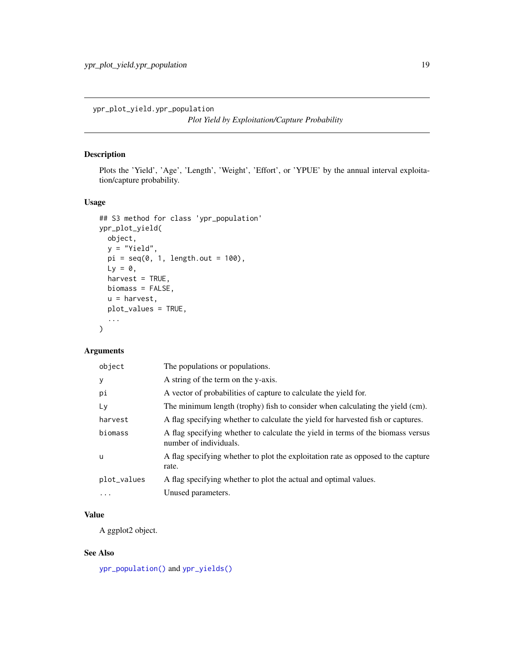<span id="page-18-0"></span>ypr\_plot\_yield.ypr\_population

*Plot Yield by Exploitation/Capture Probability*

#### Description

Plots the 'Yield', 'Age', 'Length', 'Weight', 'Effort', or 'YPUE' by the annual interval exploitation/capture probability.

# Usage

```
## S3 method for class 'ypr_population'
ypr_plot_yield(
  object,
  y = "Yield",
  pi = seq(0, 1, length.out = 100),
  Ly = 0,
  harvest = TRUE,
  biomass = FALSE,
  u = harvest,
  plot_values = TRUE,
  ...
\mathcal{L}
```
# Arguments

| object      | The populations or populations.                                                                           |
|-------------|-----------------------------------------------------------------------------------------------------------|
| y           | A string of the term on the y-axis.                                                                       |
| pi          | A vector of probabilities of capture to calculate the yield for.                                          |
| Ly          | The minimum length (trophy) fish to consider when calculating the yield (cm).                             |
| harvest     | A flag specifying whether to calculate the yield for harvested fish or captures.                          |
| biomass     | A flag specifying whether to calculate the yield in terms of the biomass versus<br>number of individuals. |
| u           | A flag specifying whether to plot the exploitation rate as opposed to the capture<br>rate.                |
| plot_values | A flag specifying whether to plot the actual and optimal values.                                          |
| $\cdots$    | Unused parameters.                                                                                        |
|             |                                                                                                           |

# Value

A ggplot2 object.

## See Also

[ypr\\_population\(\)](#page-20-1) and [ypr\\_yields\(\)](#page-33-1)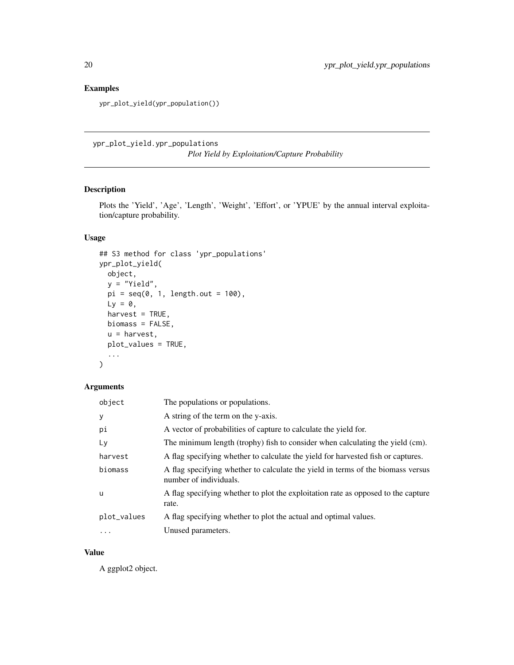# Examples

ypr\_plot\_yield(ypr\_population())

ypr\_plot\_yield.ypr\_populations *Plot Yield by Exploitation/Capture Probability*

# Description

Plots the 'Yield', 'Age', 'Length', 'Weight', 'Effort', or 'YPUE' by the annual interval exploitation/capture probability.

# Usage

```
## S3 method for class 'ypr_populations'
ypr_plot_yield(
  object,
  y = "Yield",
  pi = seq(0, 1, length.out = 100),
  Ly = 0,
  harvest = TRUE,
  biomass = FALSE,
  u = harvest,
  plot_values = TRUE,
  ...
)
```
# Arguments

| object      | The populations or populations.                                                                           |
|-------------|-----------------------------------------------------------------------------------------------------------|
| y           | A string of the term on the y-axis.                                                                       |
| рi          | A vector of probabilities of capture to calculate the yield for.                                          |
| Lv          | The minimum length (trophy) fish to consider when calculating the yield (cm).                             |
| harvest     | A flag specifying whether to calculate the yield for harvested fish or captures.                          |
| biomass     | A flag specifying whether to calculate the yield in terms of the biomass versus<br>number of individuals. |
| u           | A flag specifying whether to plot the exploitation rate as opposed to the capture<br>rate.                |
| plot_values | A flag specifying whether to plot the actual and optimal values.                                          |
| $\ddots$ .  | Unused parameters.                                                                                        |

## Value

A ggplot2 object.

<span id="page-19-0"></span>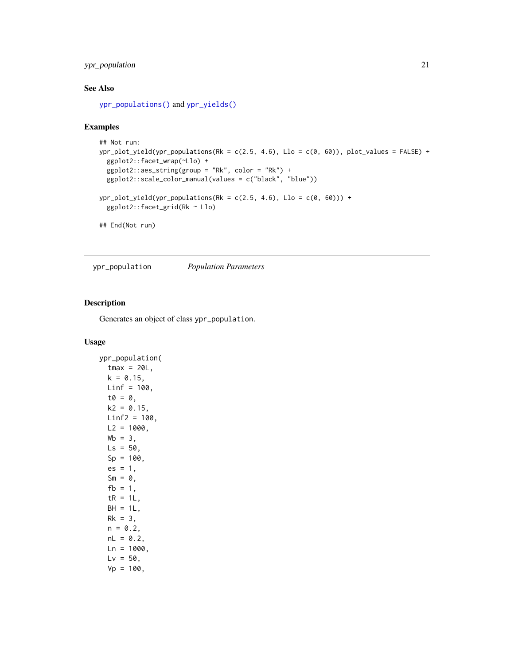# <span id="page-20-0"></span>ypr\_population 21

## See Also

[ypr\\_populations\(\)](#page-22-1) and [ypr\\_yields\(\)](#page-33-1)

## Examples

```
## Not run:
ypr\_plot\_yield(ypr\_populations(Rk = c(2.5, 4.6), Llo = c(0, 60)), plot\_values = FALSE) +ggplot2::facet_wrap(~Llo) +
  ggplot2::aes\_string(group = "Rk", color = "Rk") +ggplot2::scale_color_manual(values = c("black", "blue"))
ypr\_plot\_yield(ypr\_populations(Rk = c(2.5, 4.6), Llo = c(0, 60))) +
  ggplot2::facet_grid(Rk ~ Llo)
## End(Not run)
```
<span id="page-20-1"></span>ypr\_population *Population Parameters*

#### Description

Generates an object of class ypr\_population.

#### Usage

```
ypr_population(
  tmax = 20L,
 k = 0.15,
 Linf = 100,t\theta = \theta,
 k2 = 0.15,
 Linf2 = 100,
 L2 = 1000,
 Wb = 3,
 Ls = 50,
  Sp = 100,
  es = 1,Sm = 0,
  fb = 1,tR = 1L,
 BH = 1L,
 Rk = 3,
 n = 0.2,
 nL = 0.2,
 Ln = 1000,Lv = 50,
  Vp = 100,
```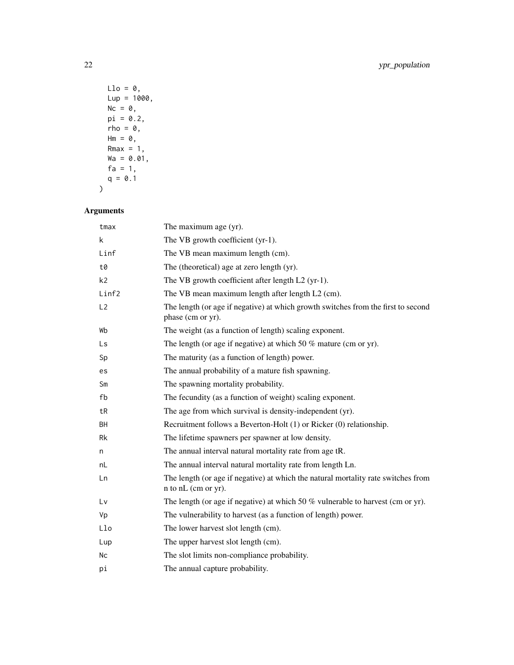$Llo = 0$ ,  $Lup = 1000,$  $Nc = 0$ ,  $pi = 0.2$ ,  $rho = 0,$  $Hm = 0,$ Rmax =  $1$ , Wa = 0.01,  $fa = 1$ ,  $q = 0.1$  $\mathcal{L}$ 

# Arguments

| tmax           | The maximum age (yr).                                                                                    |
|----------------|----------------------------------------------------------------------------------------------------------|
| k              | The VB growth coefficient (yr-1).                                                                        |
| Linf           | The VB mean maximum length (cm).                                                                         |
| t0             | The (theoretical) age at zero length (yr).                                                               |
| k <sub>2</sub> | The VB growth coefficient after length L2 (yr-1).                                                        |
| Linf2          | The VB mean maximum length after length L2 (cm).                                                         |
| L2             | The length (or age if negative) at which growth switches from the first to second<br>phase (cm or yr).   |
| Wb             | The weight (as a function of length) scaling exponent.                                                   |
| Ls             | The length (or age if negative) at which 50 $\%$ mature (cm or yr).                                      |
| Sp             | The maturity (as a function of length) power.                                                            |
| es             | The annual probability of a mature fish spawning.                                                        |
| Sm             | The spawning mortality probability.                                                                      |
| fb             | The fecundity (as a function of weight) scaling exponent.                                                |
| tR             | The age from which survival is density-independent (yr).                                                 |
| <b>BH</b>      | Recruitment follows a Beverton-Holt (1) or Ricker (0) relationship.                                      |
| Rk             | The lifetime spawners per spawner at low density.                                                        |
| n              | The annual interval natural mortality rate from age tR.                                                  |
| nL             | The annual interval natural mortality rate from length Ln.                                               |
| Ln             | The length (or age if negative) at which the natural mortality rate switches from<br>n to nL (cm or yr). |
| Lv             | The length (or age if negative) at which 50 $%$ vulnerable to harvest (cm or yr).                        |
| Vp             | The vulnerability to harvest (as a function of length) power.                                            |
| Llo            | The lower harvest slot length (cm).                                                                      |
| Lup            | The upper harvest slot length (cm).                                                                      |
| Nc             | The slot limits non-compliance probability.                                                              |
| рi             | The annual capture probability.                                                                          |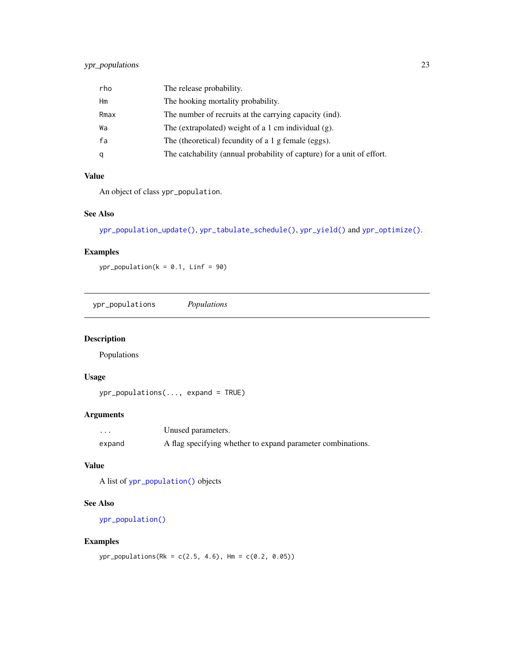<span id="page-22-0"></span>

| rho  | The release probability.                                               |
|------|------------------------------------------------------------------------|
| Hm   | The hooking mortality probability.                                     |
| Rmax | The number of recruits at the carrying capacity (ind).                 |
| Wa   | The (extrapolated) weight of a 1 cm individual $(g)$ .                 |
| fa   | The (theoretical) fecundity of a 1 g female (eggs).                    |
| q    | The catchability (annual probability of capture) for a unit of effort. |

# Value

An object of class ypr\_population.

# See Also

```
ypr_population_update(), ypr_tabulate_schedule(), ypr_yield() and ypr_optimize().
```
# Examples

 $ypr\_population(k = 0.1, Linf = 90)$ 

<span id="page-22-1"></span>ypr\_populations *Populations*

# Description

Populations

# Usage

ypr\_populations(..., expand = TRUE)

# Arguments

| .      | Unused parameters.                                          |
|--------|-------------------------------------------------------------|
| expand | A flag specifying whether to expand parameter combinations. |

#### Value

A list of [ypr\\_population\(\)](#page-20-1) objects

# See Also

```
ypr_population()
```
#### Examples

ypr\_populations(Rk = c(2.5, 4.6), Hm = c(0.2, 0.05))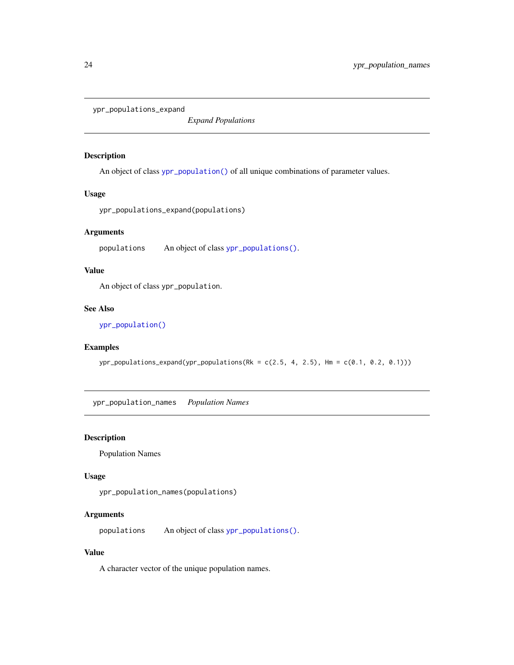<span id="page-23-0"></span>ypr\_populations\_expand

*Expand Populations*

### Description

An object of class [ypr\\_population\(\)](#page-20-1) of all unique combinations of parameter values.

## Usage

```
ypr_populations_expand(populations)
```
## Arguments

populations An object of class [ypr\\_populations\(\)](#page-22-1).

## Value

An object of class ypr\_population.

## See Also

[ypr\\_population\(\)](#page-20-1)

#### Examples

 $ypr\_populations\_expand(ypr\_populations(Rk = c(2.5, 4, 2.5), Hm = c(0.1, 0.2, 0.1)))$ 

ypr\_population\_names *Population Names*

#### Description

Population Names

#### Usage

```
ypr_population_names(populations)
```
# Arguments

populations An object of class [ypr\\_populations\(\)](#page-22-1).

#### Value

A character vector of the unique population names.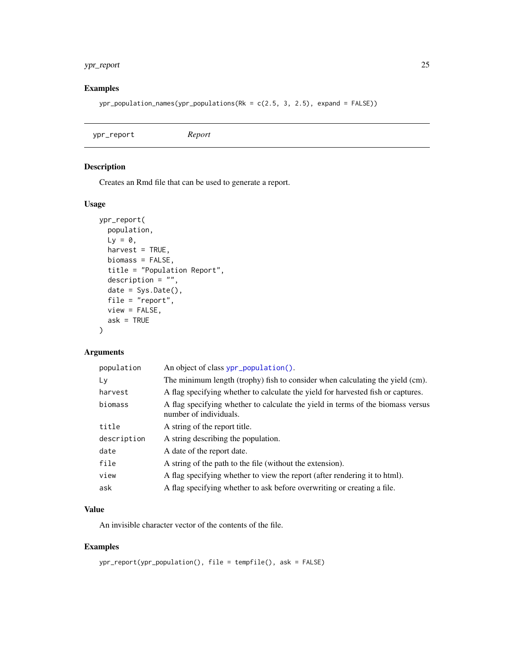# <span id="page-24-0"></span>ypr\_report 25

# Examples

 $ypr\_population\_names(ypr\_populations(Rk = c(2.5, 3, 2.5), expand = FALSE))$ 

# Description

Creates an Rmd file that can be used to generate a report.

# Usage

```
ypr_report(
  population,
  Ly = 0,
  harvest = TRUE,
  biomass = FALSE,
  title = "Population Report",
  description = ",
  date = Sys.Date(),
  file = "report",
  view = FALSE,
  ask = TRUE\lambda
```
# Arguments

| population  | An object of class ypr_population().                                                                      |
|-------------|-----------------------------------------------------------------------------------------------------------|
| Ly          | The minimum length (trophy) fish to consider when calculating the yield (cm).                             |
| harvest     | A flag specifying whether to calculate the yield for harvested fish or captures.                          |
| biomass     | A flag specifying whether to calculate the yield in terms of the biomass versus<br>number of individuals. |
| title       | A string of the report title.                                                                             |
| description | A string describing the population.                                                                       |
| date        | A date of the report date.                                                                                |
| file        | A string of the path to the file (without the extension).                                                 |
| view        | A flag specifying whether to view the report (after rendering it to html).                                |
| ask         | A flag specifying whether to ask before overwriting or creating a file.                                   |

# Value

An invisible character vector of the contents of the file.

```
ypr_report(ypr_population(), file = tempfile(), ask = FALSE)
```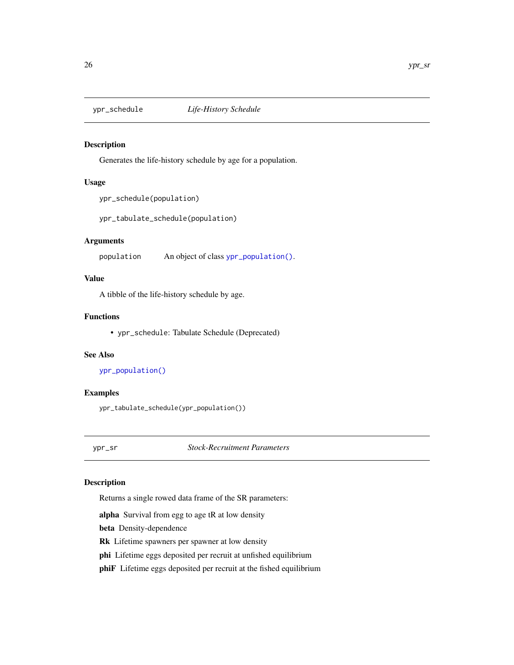<span id="page-25-0"></span>

#### <span id="page-25-1"></span>Description

Generates the life-history schedule by age for a population.

#### Usage

```
ypr_schedule(population)
```
ypr\_tabulate\_schedule(population)

#### Arguments

population An object of class [ypr\\_population\(\)](#page-20-1).

# Value

A tibble of the life-history schedule by age.

#### Functions

• ypr\_schedule: Tabulate Schedule (Deprecated)

## See Also

```
ypr_population()
```
#### Examples

ypr\_tabulate\_schedule(ypr\_population())

<span id="page-25-2"></span>ypr\_sr *Stock-Recruitment Parameters*

#### Description

Returns a single rowed data frame of the SR parameters:

alpha Survival from egg to age tR at low density

beta Density-dependence

Rk Lifetime spawners per spawner at low density

phi Lifetime eggs deposited per recruit at unfished equilibrium

phiF Lifetime eggs deposited per recruit at the fished equilibrium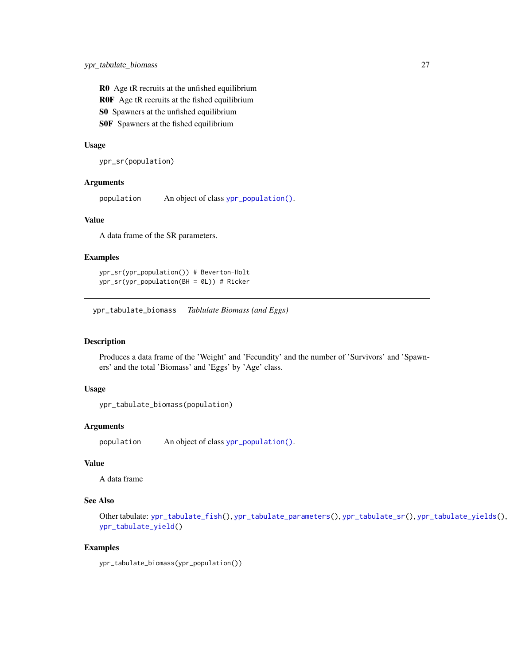<span id="page-26-0"></span>R0 Age tR recruits at the unfished equilibrium R0F Age tR recruits at the fished equilibrium S0 Spawners at the unfished equilibrium S0F Spawners at the fished equilibrium

#### Usage

ypr\_sr(population)

#### Arguments

population An object of class [ypr\\_population\(\)](#page-20-1).

#### Value

A data frame of the SR parameters.

#### Examples

ypr\_sr(ypr\_population()) # Beverton-Holt ypr\_sr(ypr\_population(BH = 0L)) # Ricker

<span id="page-26-1"></span>ypr\_tabulate\_biomass *Tablulate Biomass (and Eggs)*

#### Description

Produces a data frame of the 'Weight' and 'Fecundity' and the number of 'Survivors' and 'Spawners' and the total 'Biomass' and 'Eggs' by 'Age' class.

#### Usage

```
ypr_tabulate_biomass(population)
```
#### Arguments

population An object of class [ypr\\_population\(\)](#page-20-1).

#### Value

A data frame

#### See Also

Other tabulate: [ypr\\_tabulate\\_fish\(](#page-27-2)), [ypr\\_tabulate\\_parameters\(](#page-27-1)), [ypr\\_tabulate\\_sr\(](#page-28-1)), [ypr\\_tabulate\\_yields\(](#page-31-1)), [ypr\\_tabulate\\_yield\(](#page-29-1))

#### Examples

ypr\_tabulate\_biomass(ypr\_population())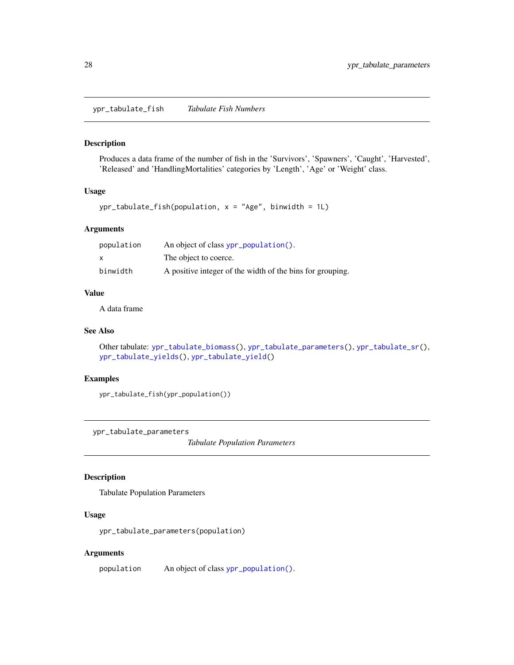<span id="page-27-2"></span><span id="page-27-0"></span>ypr\_tabulate\_fish *Tabulate Fish Numbers*

#### Description

Produces a data frame of the number of fish in the 'Survivors', 'Spawners', 'Caught', 'Harvested', 'Released' and 'HandlingMortalities' categories by 'Length', 'Age' or 'Weight' class.

#### Usage

ypr\_tabulate\_fish(population, x = "Age", binwidth = 1L)

# Arguments

| population | An object of class ypr_population().                      |
|------------|-----------------------------------------------------------|
| X          | The object to coerce.                                     |
| binwidth   | A positive integer of the width of the bins for grouping. |

#### Value

A data frame

#### See Also

```
Other tabulate: ypr_tabulate_biomass(), ypr_tabulate_parameters(), ypr_tabulate_sr(),
ypr_tabulate_yields(), ypr_tabulate_yield()
```
# Examples

ypr\_tabulate\_fish(ypr\_population())

<span id="page-27-1"></span>ypr\_tabulate\_parameters

*Tabulate Population Parameters*

# Description

Tabulate Population Parameters

#### Usage

ypr\_tabulate\_parameters(population)

#### Arguments

population An object of class [ypr\\_population\(\)](#page-20-1).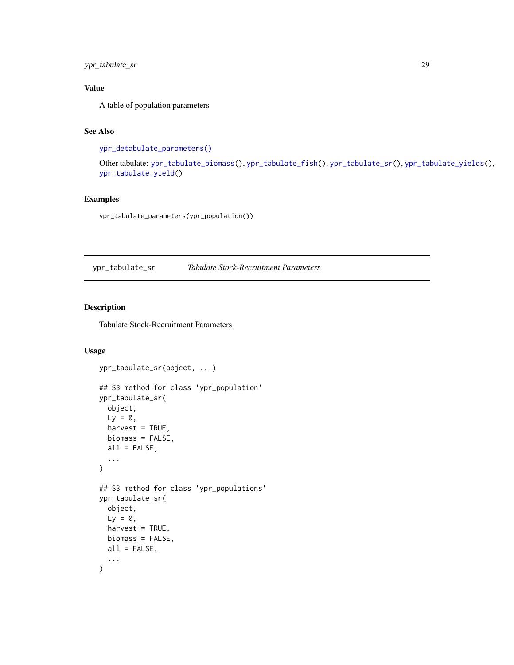# <span id="page-28-0"></span>ypr\_tabulate\_sr 29

# Value

A table of population parameters

# See Also

[ypr\\_detabulate\\_parameters\(\)](#page-11-1)

Other tabulate: [ypr\\_tabulate\\_biomass\(](#page-26-1)), [ypr\\_tabulate\\_fish\(](#page-27-2)), [ypr\\_tabulate\\_sr\(](#page-28-1)), [ypr\\_tabulate\\_yields\(](#page-31-1)), [ypr\\_tabulate\\_yield\(](#page-29-1))

# Examples

ypr\_tabulate\_parameters(ypr\_population())

<span id="page-28-1"></span>ypr\_tabulate\_sr *Tabulate Stock-Recruitment Parameters*

# Description

Tabulate Stock-Recruitment Parameters

# Usage

```
ypr_tabulate_sr(object, ...)
## S3 method for class 'ypr_population'
ypr_tabulate_sr(
 object,
 Ly = 0,
  harvest = TRUE,biomass = FALSE,
 all = FALSE,...
)
## S3 method for class 'ypr_populations'
ypr_tabulate_sr(
 object,
 L_v = 0,
 harvest = TRUE,
 biomass = FALSE,
 all = FALSE,...
\mathcal{L}
```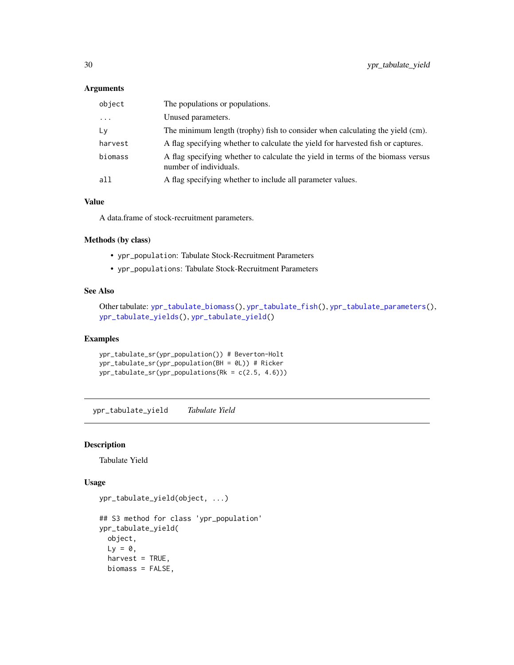# <span id="page-29-0"></span>Arguments

| object  | The populations or populations.                                                                           |
|---------|-----------------------------------------------------------------------------------------------------------|
| $\cdot$ | Unused parameters.                                                                                        |
| Ly      | The minimum length (trophy) fish to consider when calculating the yield (cm).                             |
| harvest | A flag specifying whether to calculate the yield for harvested fish or captures.                          |
| biomass | A flag specifying whether to calculate the yield in terms of the biomass versus<br>number of individuals. |
| all     | A flag specifying whether to include all parameter values.                                                |

#### Value

A data.frame of stock-recruitment parameters.

# Methods (by class)

- ypr\_population: Tabulate Stock-Recruitment Parameters
- ypr\_populations: Tabulate Stock-Recruitment Parameters

# See Also

```
Other tabulate: ypr_tabulate_biomass(), ypr_tabulate_fish(), ypr_tabulate_parameters(),
ypr_tabulate_yields(), ypr_tabulate_yield()
```
#### Examples

```
ypr_tabulate_sr(ypr_population()) # Beverton-Holt
ypr_tabulate_sr(ypr_population(BH = 0L)) # Ricker
ypr_tabulate_sr(ypr_populations(Rk = c(2.5, 4.6)))
```
<span id="page-29-1"></span>ypr\_tabulate\_yield *Tabulate Yield*

#### Description

Tabulate Yield

#### Usage

```
ypr_tabulate_yield(object, ...)
## S3 method for class 'ypr_population'
ypr_tabulate_yield(
 object,
 Ly = 0,
 harvest = TRUE,
 biomass = FALSE,
```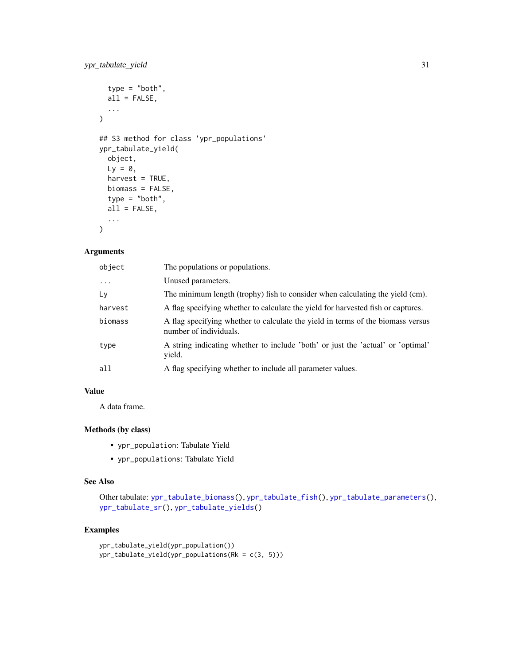```
type = "both",
 all = FALSE,...
\lambda## S3 method for class 'ypr_populations'
ypr_tabulate_yield(
 object,
 Ly = 0,
 harvest = TRUE,
 biomass = FALSE,
  type = "both",
 all = FALSE,...
)
```
# Arguments

| object   | The populations or populations.                                                                           |
|----------|-----------------------------------------------------------------------------------------------------------|
| $\cdots$ | Unused parameters.                                                                                        |
| Ly       | The minimum length (trophy) fish to consider when calculating the yield (cm).                             |
| harvest  | A flag specifying whether to calculate the yield for harvested fish or captures.                          |
| biomass  | A flag specifying whether to calculate the yield in terms of the biomass versus<br>number of individuals. |
| type     | A string indicating whether to include 'both' or just the 'actual' or 'optimal'<br>yield.                 |
| a11      | A flag specifying whether to include all parameter values.                                                |

# Value

A data frame.

# Methods (by class)

- ypr\_population: Tabulate Yield
- ypr\_populations: Tabulate Yield

## See Also

Other tabulate: [ypr\\_tabulate\\_biomass\(](#page-26-1)), [ypr\\_tabulate\\_fish\(](#page-27-2)), [ypr\\_tabulate\\_parameters\(](#page-27-1)), [ypr\\_tabulate\\_sr\(](#page-28-1)), [ypr\\_tabulate\\_yields\(](#page-31-1))

```
ypr_tabulate_yield(ypr_population())
ypr_tabulate_yield(ypr_populations(Rk = c(3, 5)))
```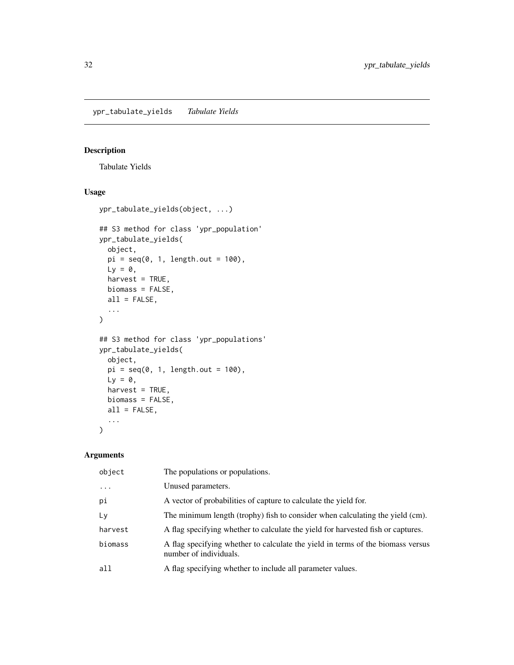<span id="page-31-1"></span><span id="page-31-0"></span>ypr\_tabulate\_yields *Tabulate Yields*

#### Description

Tabulate Yields

## Usage

```
ypr_tabulate_yields(object, ...)
## S3 method for class 'ypr_population'
ypr_tabulate_yields(
  object,
  pi = seq(0, 1, length.out = 100),
  Ly = 0,
  harvest = TRUE,
  biomass = FALSE,
  all = FALSE,
  ...
\mathcal{L}## S3 method for class 'ypr_populations'
ypr_tabulate_yields(
  object,
  pi = seq(0, 1, length.out = 100),
  Ly = 0,
  harvest = TRUE,
  biomass = FALSE,
  all = FALSE,...
\mathcal{L}
```
# Arguments

| object   | The populations or populations.                                                                           |
|----------|-----------------------------------------------------------------------------------------------------------|
| $\cdots$ | Unused parameters.                                                                                        |
| pi       | A vector of probabilities of capture to calculate the yield for.                                          |
| Ly       | The minimum length (trophy) fish to consider when calculating the yield (cm).                             |
| harvest  | A flag specifying whether to calculate the yield for harvested fish or captures.                          |
| biomass  | A flag specifying whether to calculate the yield in terms of the biomass versus<br>number of individuals. |
| all      | A flag specifying whether to include all parameter values.                                                |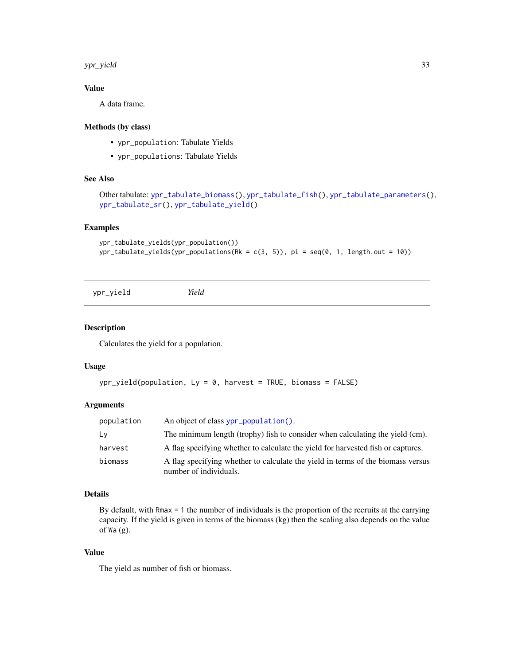#### <span id="page-32-0"></span>ypr\_yield 33

# Value

A data frame.

# Methods (by class)

- ypr\_population: Tabulate Yields
- ypr\_populations: Tabulate Yields

#### See Also

```
Other tabulate: ypr_tabulate_biomass(), ypr_tabulate_fish(), ypr_tabulate_parameters(),
ypr_tabulate_sr(), ypr_tabulate_yield()
```
## Examples

```
ypr_tabulate_yields(ypr_population())
ypr_table_yields(ypr\_populations(Rk = c(3, 5)), pi = seq(0, 1, length.out = 10))
```
<span id="page-32-1"></span>ypr\_yield *Yield*

#### Description

Calculates the yield for a population.

#### Usage

```
ypr\_yield(population, Ly = 0, harvest = TRUE, biomass = FALSE)
```
#### Arguments

| population | An object of class ypr_population().                                                                      |
|------------|-----------------------------------------------------------------------------------------------------------|
| Ly         | The minimum length (trophy) fish to consider when calculating the yield (cm).                             |
| harvest    | A flag specifying whether to calculate the yield for harvested fish or captures.                          |
| biomass    | A flag specifying whether to calculate the yield in terms of the biomass versus<br>number of individuals. |

#### Details

By default, with Rmax = 1 the number of individuals is the proportion of the recruits at the carrying capacity. If the yield is given in terms of the biomass (kg) then the scaling also depends on the value of Wa (g).

## Value

The yield as number of fish or biomass.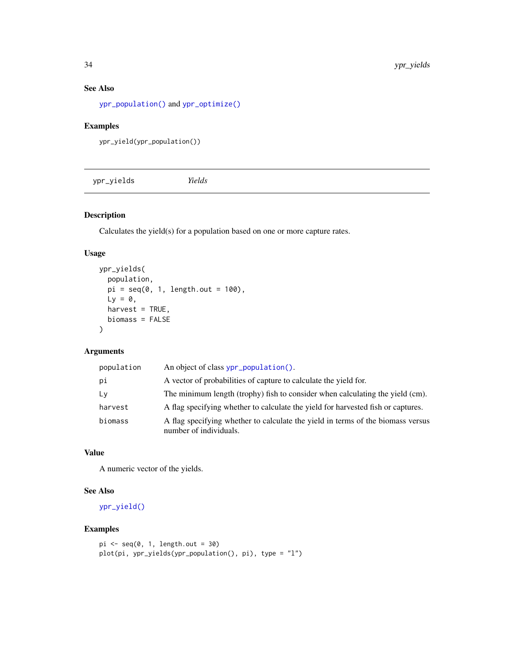# See Also

[ypr\\_population\(\)](#page-20-1) and [ypr\\_optimize\(\)](#page-13-1)

# Examples

```
ypr_yield(ypr_population())
```
<span id="page-33-1"></span>

# Description

Calculates the yield(s) for a population based on one or more capture rates.

# Usage

```
ypr_yields(
  population,
  pi = seq(0, 1, length.out = 100),
  Ly = 0,
  harvest = TRUE,biomass = FALSE
\mathcal{L}
```
# Arguments

| population | An object of class ypr_population().                                                                      |
|------------|-----------------------------------------------------------------------------------------------------------|
| рi         | A vector of probabilities of capture to calculate the yield for.                                          |
| Ly         | The minimum length (trophy) fish to consider when calculating the yield (cm).                             |
| harvest    | A flag specifying whether to calculate the yield for harvested fish or captures.                          |
| biomass    | A flag specifying whether to calculate the yield in terms of the biomass versus<br>number of individuals. |

# Value

A numeric vector of the yields.

# See Also

[ypr\\_yield\(\)](#page-32-1)

```
pi \leftarrow seq(0, 1, length.out = 30)plot(pi, ypr_yields(ypr_population(), pi), type = "l")
```
<span id="page-33-0"></span>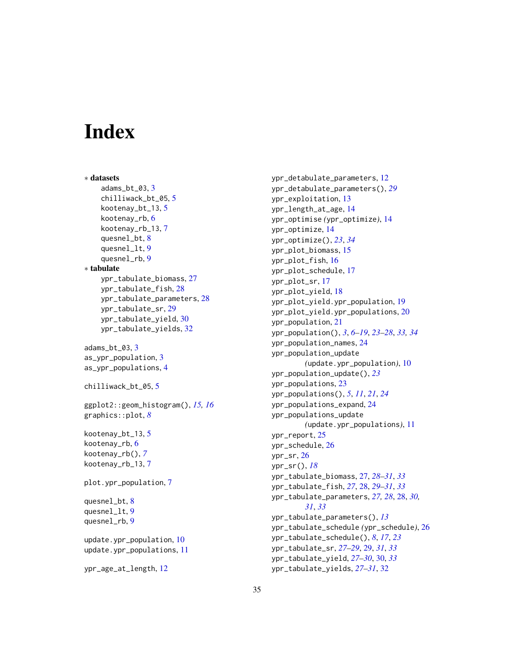# <span id="page-34-0"></span>**Index**

```
∗ datasets
    adams_bt_03, 3
    chilliwack_bt_05, 5
    kootenay_bt_13, 5
    kootenay_rb, 6
    kootenay_rb_13, 7
    quesnel_bt, 8
    quesnel_lt, 9
    quesnel_rb, 9
∗ tabulate
    ypr_tabulate_biomass, 27
    ypr_tabulate_fish, 28
    ypr_tabulate_parameters, 28
    ypr_tabulate_sr, 29
    ypr_tabulate_yield, 30
    ypr_tabulate_yields, 32
adams_bt_03, 3
as_ypr_population, 3
as_ypr_populations, 4
chilliwack_bt_05, 5
ggplot2::geom_histogram(), 15, 16
graphics::plot, 8
kootenay_bt_13, 5
kootenay_rb, 6
kootenay_rb(), 7
kootenay_rb_13, 7
plot.ypr_population, 7
quesnel_bt, 8
quesnel_lt, 9
quesnel_rb, 9
update.ypr_population, 10
update.ypr_populations, 11
ypr_age_at_length, 12
```
ypr\_detabulate\_parameters, [12](#page-11-0) ypr\_detabulate\_parameters(), *[29](#page-28-0)* ypr\_exploitation, [13](#page-12-0) ypr\_length\_at\_age, [14](#page-13-0) ypr\_optimise *(*ypr\_optimize*)*, [14](#page-13-0) ypr\_optimize, [14](#page-13-0) ypr\_optimize(), *[23](#page-22-0)*, *[34](#page-33-0)* ypr\_plot\_biomass, [15](#page-14-0) ypr\_plot\_fish, [16](#page-15-0) ypr\_plot\_schedule, [17](#page-16-0) ypr\_plot\_sr, [17](#page-16-0) ypr\_plot\_yield, [18](#page-17-0) ypr\_plot\_yield.ypr\_population, [19](#page-18-0) ypr\_plot\_yield.ypr\_populations, [20](#page-19-0) ypr\_population, [21](#page-20-0) ypr\_population(), *[3](#page-2-0)*, *[6](#page-5-0)[–19](#page-18-0)*, *[23](#page-22-0)[–28](#page-27-0)*, *[33,](#page-32-0) [34](#page-33-0)* ypr\_population\_names, [24](#page-23-0) ypr\_population\_update *(*update.ypr\_population*)*, [10](#page-9-0) ypr\_population\_update(), *[23](#page-22-0)* ypr\_populations, [23](#page-22-0) ypr\_populations(), *[5](#page-4-0)*, *[11](#page-10-0)*, *[21](#page-20-0)*, *[24](#page-23-0)* ypr\_populations\_expand, [24](#page-23-0) ypr\_populations\_update *(*update.ypr\_populations*)*, [11](#page-10-0) ypr\_report, [25](#page-24-0) ypr\_schedule, [26](#page-25-0) ypr\_sr, [26](#page-25-0) ypr\_sr(), *[18](#page-17-0)* ypr\_tabulate\_biomass, [27,](#page-26-0) *[28](#page-27-0)[–31](#page-30-0)*, *[33](#page-32-0)* ypr\_tabulate\_fish, *[27](#page-26-0)*, [28,](#page-27-0) *[29](#page-28-0)[–31](#page-30-0)*, *[33](#page-32-0)* ypr\_tabulate\_parameters, *[27,](#page-26-0) [28](#page-27-0)*, [28,](#page-27-0) *[30,](#page-29-0) [31](#page-30-0)*, *[33](#page-32-0)* ypr\_tabulate\_parameters(), *[13](#page-12-0)* ypr\_tabulate\_schedule *(*ypr\_schedule*)*, [26](#page-25-0) ypr\_tabulate\_schedule(), *[8](#page-7-0)*, *[17](#page-16-0)*, *[23](#page-22-0)* ypr\_tabulate\_sr, *[27](#page-26-0)[–29](#page-28-0)*, [29,](#page-28-0) *[31](#page-30-0)*, *[33](#page-32-0)* ypr\_tabulate\_yield, *[27](#page-26-0)[–30](#page-29-0)*, [30,](#page-29-0) *[33](#page-32-0)* ypr\_tabulate\_yields, *[27](#page-26-0)[–31](#page-30-0)*, [32](#page-31-0)